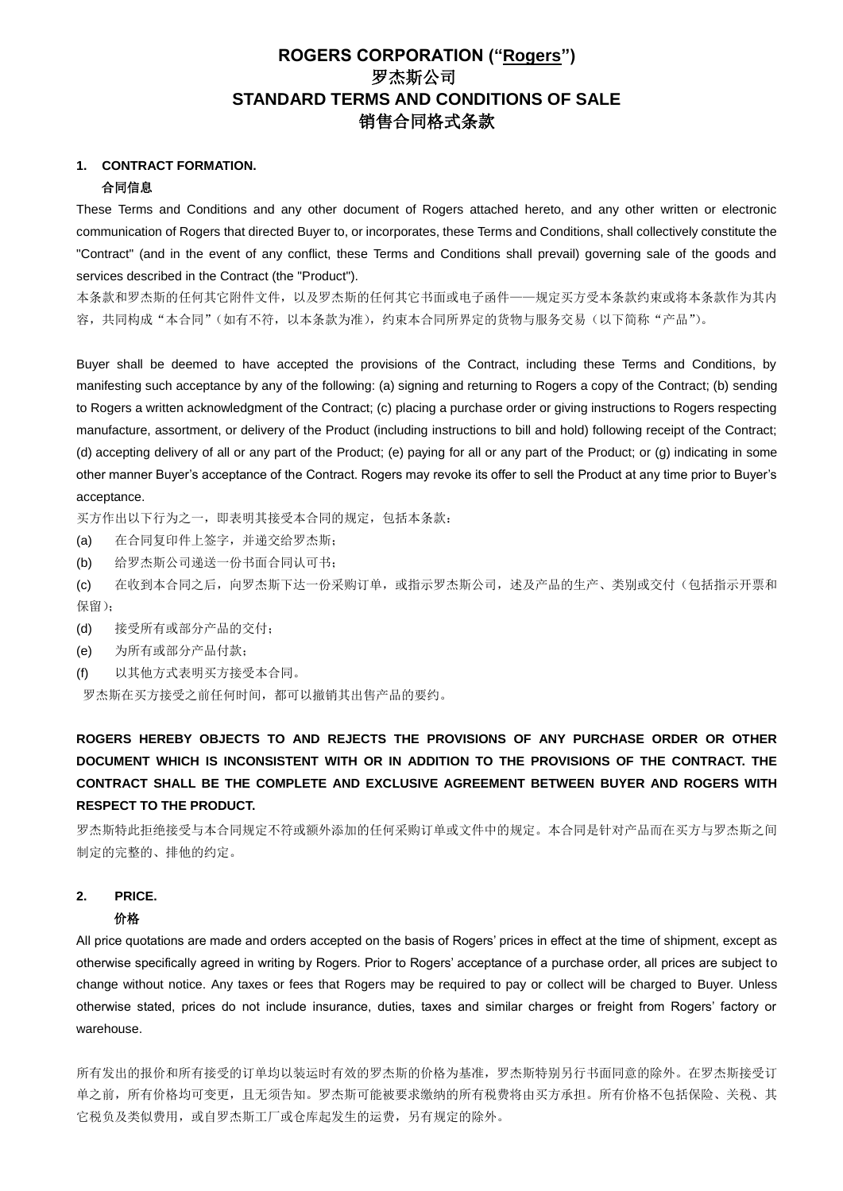## **ROGERS CORPORATION ("Rogers")** 罗杰斯公司 **STANDARD TERMS AND CONDITIONS OF SALE** 销售合同格式条款

## **1. CONTRACT FORMATION.**

#### 合同信息

These Terms and Conditions and any other document of Rogers attached hereto, and any other written or electronic communication of Rogers that directed Buyer to, or incorporates, these Terms and Conditions, shall collectively constitute the "Contract" (and in the event of any conflict, these Terms and Conditions shall prevail) governing sale of the goods and services described in the Contract (the "Product").

本条款和罗杰斯的任何其它附件文件,以及罗杰斯的任何其它书面或电子函件——规定买方受本条款约束或将本条款作为其内 容,共同构成"本合同"(如有不符,以本条款为准),约束本合同所界定的货物与服务交易(以下简称"产品")。

Buyer shall be deemed to have accepted the provisions of the Contract, including these Terms and Conditions, by manifesting such acceptance by any of the following: (a) signing and returning to Rogers a copy of the Contract; (b) sending to Rogers a written acknowledgment of the Contract; (c) placing a purchase order or giving instructions to Rogers respecting manufacture, assortment, or delivery of the Product (including instructions to bill and hold) following receipt of the Contract; (d) accepting delivery of all or any part of the Product; (e) paying for all or any part of the Product; or (g) indicating in some other manner Buyer's acceptance of the Contract. Rogers may revoke its offer to sell the Product at any time prior to Buyer's acceptance.

买方作出以下行为之一,即表明其接受本合同的规定,包括本条款:

- (a) 在合同复印件上签字,并递交给罗杰斯;
- (b) 给罗杰斯公司递送一份书面合同认可书;

(c) 在收到本合同之后,向罗杰斯下达一份采购订单,或指示罗杰斯公司,述及产品的生产、类别或交付(包括指示开票和 保留);

- (d) 接受所有或部分产品的交付;
- (e) 为所有或部分产品付款;
- (f) 以其他方式表明买方接受本合同。

罗杰斯在买方接受之前任何时间,都可以撤销其出售产品的要约。

## **ROGERS HEREBY OBJECTS TO AND REJECTS THE PROVISIONS OF ANY PURCHASE ORDER OR OTHER DOCUMENT WHICH IS INCONSISTENT WITH OR IN ADDITION TO THE PROVISIONS OF THE CONTRACT. THE CONTRACT SHALL BE THE COMPLETE AND EXCLUSIVE AGREEMENT BETWEEN BUYER AND ROGERS WITH RESPECT TO THE PRODUCT.**

罗杰斯特此拒绝接受与本合同规定不符或额外添加的任何采购订单或文件中的规定。本合同是针对产品而在买方与罗杰斯之间 制定的完整的、排他的约定。

# **2. PRICE.**

#### 价格

All price quotations are made and orders accepted on the basis of Rogers' prices in effect at the time of shipment, except as otherwise specifically agreed in writing by Rogers. Prior to Rogers' acceptance of a purchase order, all prices are subject to change without notice. Any taxes or fees that Rogers may be required to pay or collect will be charged to Buyer. Unless otherwise stated, prices do not include insurance, duties, taxes and similar charges or freight from Rogers' factory or warehouse.

所有发出的报价和所有接受的订单均以装运时有效的罗杰斯的价格为基准,罗杰斯特别另行书面同意的除外。在罗杰斯接受订 单之前,所有价格均可变更,且无须告知。罗杰斯可能被要求缴纳的所有税费将由买方承担。所有价格不包括保险、关税、其 它税负及类似费用,或自罗杰斯工厂或仓库起发生的运费,另有规定的除外。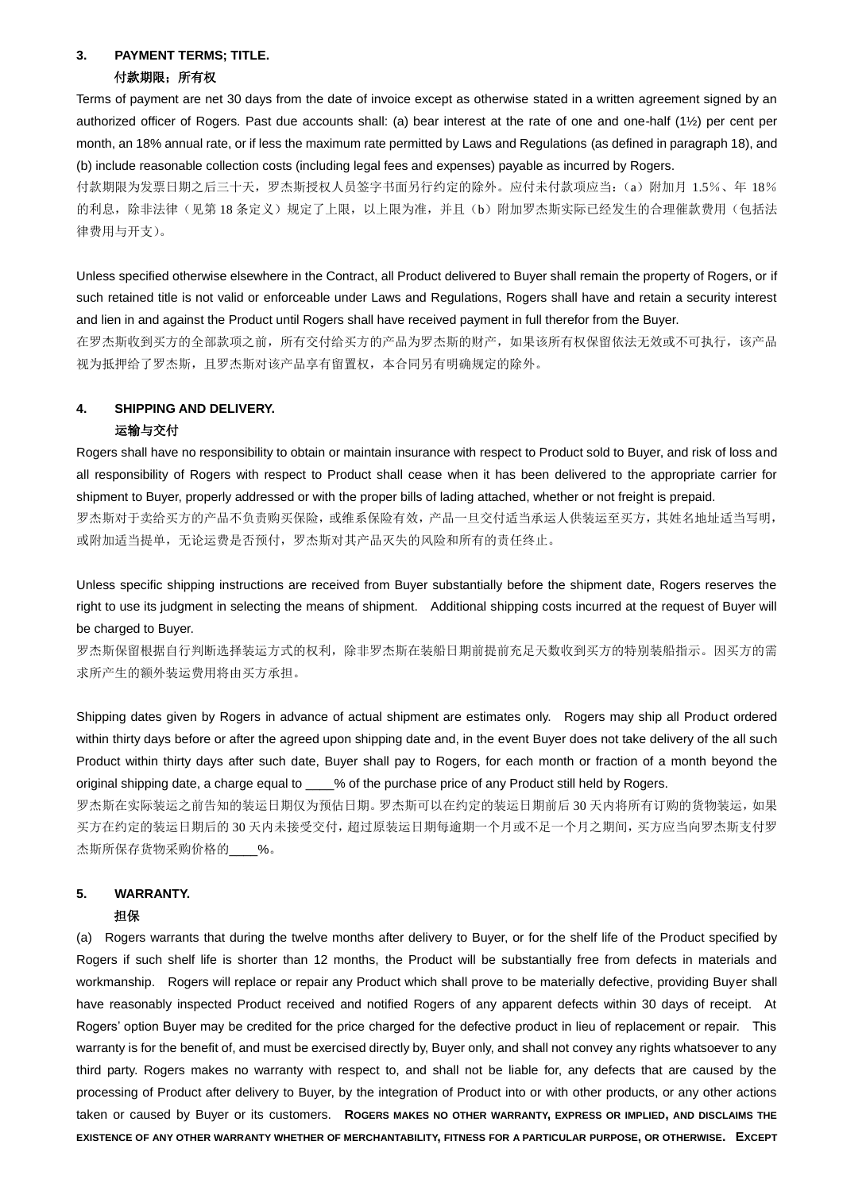# **3. PAYMENT TERMS; TITLE.**

## 付款期限;所有权

Terms of payment are net 30 days from the date of invoice except as otherwise stated in a written agreement signed by an authorized officer of Rogers. Past due accounts shall: (a) bear interest at the rate of one and one-half (1½) per cent per month, an 18% annual rate, or if less the maximum rate permitted by Laws and Regulations (as defined in paragraph 18), and (b) include reasonable collection costs (including legal fees and expenses) payable as incurred by Rogers.

付款期限为发票日期之后三十天,罗杰斯授权人员签字书面另行约定的除外。应付未付款项应当:(a)附加月 1.5%、年 18% 的利息,除非法律(见第 18 条定义)规定了上限,以上限为准,并且(b)附加罗杰斯实际已经发生的合理催款费用(包括法 律费用与开支)。

Unless specified otherwise elsewhere in the Contract, all Product delivered to Buyer shall remain the property of Rogers, or if such retained title is not valid or enforceable under Laws and Regulations, Rogers shall have and retain a security interest and lien in and against the Product until Rogers shall have received payment in full therefor from the Buyer.

在罗杰斯收到买方的全部款项之前,所有交付给买方的产品为罗杰斯的财产,如果该所有权保留依法无效或不可执行,该产品 视为抵押给了罗杰斯,且罗杰斯对该产品享有留置权,本合同另有明确规定的除外。

## **4. SHIPPING AND DELIVERY.**

#### 运输与交付

Rogers shall have no responsibility to obtain or maintain insurance with respect to Product sold to Buyer, and risk of loss and all responsibility of Rogers with respect to Product shall cease when it has been delivered to the appropriate carrier for shipment to Buyer, properly addressed or with the proper bills of lading attached, whether or not freight is prepaid.

罗杰斯对于卖给买方的产品不负责购买保险,或维系保险有效,产品一旦交付适当承运人供装运至买方,其姓名地址适当写明, 或附加适当提单,无论运费是否预付,罗杰斯对其产品灭失的风险和所有的责任终止。

Unless specific shipping instructions are received from Buyer substantially before the shipment date, Rogers reserves the right to use its judgment in selecting the means of shipment. Additional shipping costs incurred at the request of Buyer will be charged to Buver.

罗杰斯保留根据自行判断选择装运方式的权利,除非罗杰斯在装船日期前提前充足天数收到买方的特别装船指示。因买方的需 求所产生的额外装运费用将由买方承担。

Shipping dates given by Rogers in advance of actual shipment are estimates only. Rogers may ship all Product ordered within thirty days before or after the agreed upon shipping date and, in the event Buyer does not take delivery of the all such Product within thirty days after such date, Buyer shall pay to Rogers, for each month or fraction of a month beyond the original shipping date, a charge equal to  $\%$  of the purchase price of any Product still held by Rogers.

罗杰斯在实际装运之前告知的装运日期仅为预估日期。罗杰斯可以在约定的装运日期前后 30 天内将所有订购的货物装运,如果 买方在约定的装运日期后的 30 天内未接受交付,超过原装运日期每逾期一个月或不足一个月之期间,买方应当向罗杰斯支付罗 杰斯所保存货物采购价格的\_\_\_\_%。

# **5. WARRANTY.**

## 担保

(a) Rogers warrants that during the twelve months after delivery to Buyer, or for the shelf life of the Product specified by Rogers if such shelf life is shorter than 12 months, the Product will be substantially free from defects in materials and workmanship. Rogers will replace or repair any Product which shall prove to be materially defective, providing Buyer shall have reasonably inspected Product received and notified Rogers of any apparent defects within 30 days of receipt. At Rogers' option Buyer may be credited for the price charged for the defective product in lieu of replacement or repair. This warranty is for the benefit of, and must be exercised directly by, Buyer only, and shall not convey any rights whatsoever to any third party. Rogers makes no warranty with respect to, and shall not be liable for, any defects that are caused by the processing of Product after delivery to Buyer, by the integration of Product into or with other products, or any other actions taken or caused by Buyer or its customers. **ROGERS MAKES NO OTHER WARRANTY, EXPRESS OR IMPLIED, AND DISCLAIMS THE EXISTENCE OF ANY OTHER WARRANTY WHETHER OF MERCHANTABILITY, FITNESS FOR A PARTICULAR PURPOSE, OR OTHERWISE. EXCEPT**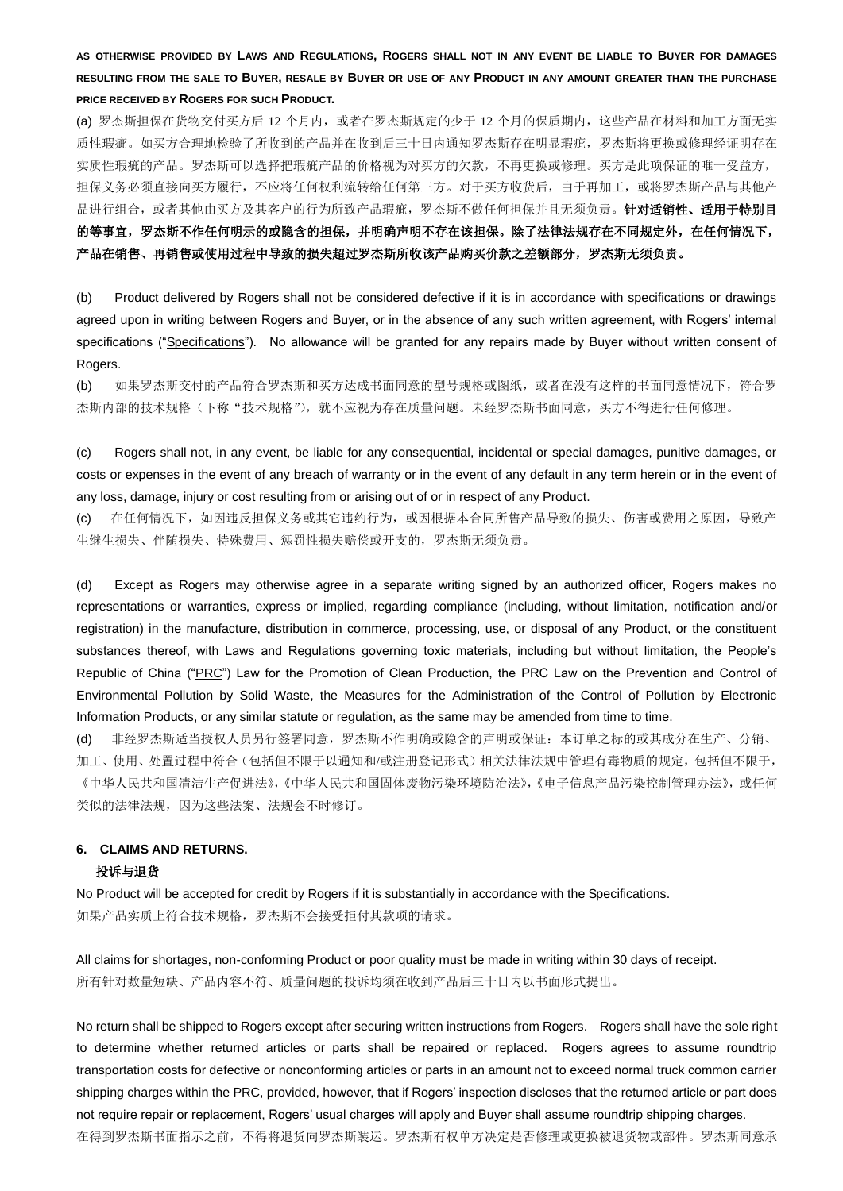## **AS OTHERWISE PROVIDED BY LAWS AND REGULATIONS, ROGERS SHALL NOT IN ANY EVENT BE LIABLE TO BUYER FOR DAMAGES RESULTING FROM THE SALE TO BUYER, RESALE BY BUYER OR USE OF ANY PRODUCT IN ANY AMOUNT GREATER THAN THE PURCHASE PRICE RECEIVED BY ROGERS FOR SUCH PRODUCT.**

(a) 罗杰斯担保在货物交付买方后 12 个月内,或者在罗杰斯规定的少于 12 个月的保质期内,这些产品在材料和加工方面无实 质性瑕疵。如买方合理地检验了所收到的产品并在收到后三十日内通知罗杰斯存在明显瑕疵,罗杰斯将更换或修理经证明存在 实质性瑕疵的产品。罗杰斯可以选择把瑕疵产品的价格视为对买方的欠款,不再更换或修理。买方是此项保证的唯一受益方, 担保义务必须直接向买方履行,不应将任何权利流转给任何第三方。对于买方收货后,由于再加工,或将罗杰斯产品与其他产 品进行组合,或者其他由买方及其客户的行为所致产品瑕疵,罗杰斯不做任何担保并且无须负责。针对适销性、适用于特别目 的等事宜,罗杰斯不作任何明示的或隐含的担保,并明确声明不存在该担保。除了法律法规存在不同规定外,在任何情况下, 产品在销售、再销售或使用过程中导致的损失超过罗杰斯所收该产品购买价款之差额部分,罗杰斯无须负责。

(b) Product delivered by Rogers shall not be considered defective if it is in accordance with specifications or drawings agreed upon in writing between Rogers and Buyer, or in the absence of any such written agreement, with Rogers' internal specifications ("Specifications"). No allowance will be granted for any repairs made by Buyer without written consent of Rogers.

(b) 如果罗杰斯交付的产品符合罗杰斯和买方达成书面同意的型号规格或图纸,或者在没有这样的书面同意情况下,符合罗 杰斯内部的技术规格(下称"技术规格"),就不应视为存在质量问题。未经罗杰斯书面同意,买方不得进行任何修理。

(c) Rogers shall not, in any event, be liable for any consequential, incidental or special damages, punitive damages, or costs or expenses in the event of any breach of warranty or in the event of any default in any term herein or in the event of any loss, damage, injury or cost resulting from or arising out of or in respect of any Product.

(c) 在任何情况下,如因违反担保义务或其它违约行为,或因根据本合同所售产品导致的损失、伤害或费用之原因,导致产 生继生损失、伴随损失、特殊费用、惩罚性损失赔偿或开支的,罗杰斯无须负责。

(d) Except as Rogers may otherwise agree in a separate writing signed by an authorized officer, Rogers makes no representations or warranties, express or implied, regarding compliance (including, without limitation, notification and/or registration) in the manufacture, distribution in commerce, processing, use, or disposal of any Product, or the constituent substances thereof, with Laws and Regulations governing toxic materials, including but without limitation, the People's Republic of China ("PRC") Law for the Promotion of Clean Production, the PRC Law on the Prevention and Control of Environmental Pollution by Solid Waste, the Measures for the Administration of the Control of Pollution by Electronic Information Products, or any similar statute or regulation, as the same may be amended from time to time.

(d) 非经罗杰斯适当授权人员另行签署同意,罗杰斯不作明确或隐含的声明或保证:本订单之标的或其成分在生产、分销、 加工、使用、处置过程中符合(包括但不限于以通知和/或注册登记形式)相关法律法规中管理有毒物质的规定,包括但不限于, 《中华人民共和国清洁生产促进法》,《中华人民共和国固体废物污染环境防治法》,《电子信息产品污染控制管理办法》,或任何 类似的法律法规,因为这些法案、法规会不时修订。

## **6. CLAIMS AND RETURNS.** 投诉与退货

No Product will be accepted for credit by Rogers if it is substantially in accordance with the Specifications. 如果产品实质上符合技术规格,罗杰斯不会接受拒付其款项的请求。

All claims for shortages, non-conforming Product or poor quality must be made in writing within 30 days of receipt. 所有针对数量短缺、产品内容不符、质量问题的投诉均须在收到产品后三十日内以书面形式提出。

No return shall be shipped to Rogers except after securing written instructions from Rogers. Rogers shall have the sole right to determine whether returned articles or parts shall be repaired or replaced. Rogers agrees to assume roundtrip transportation costs for defective or nonconforming articles or parts in an amount not to exceed normal truck common carrier shipping charges within the PRC, provided, however, that if Rogers' inspection discloses that the returned article or part does not require repair or replacement, Rogers' usual charges will apply and Buyer shall assume roundtrip shipping charges. 在得到罗杰斯书面指示之前,不得将退货向罗杰斯装运。罗杰斯有权单方决定是否修理或更换被退货物或部件。罗杰斯同意承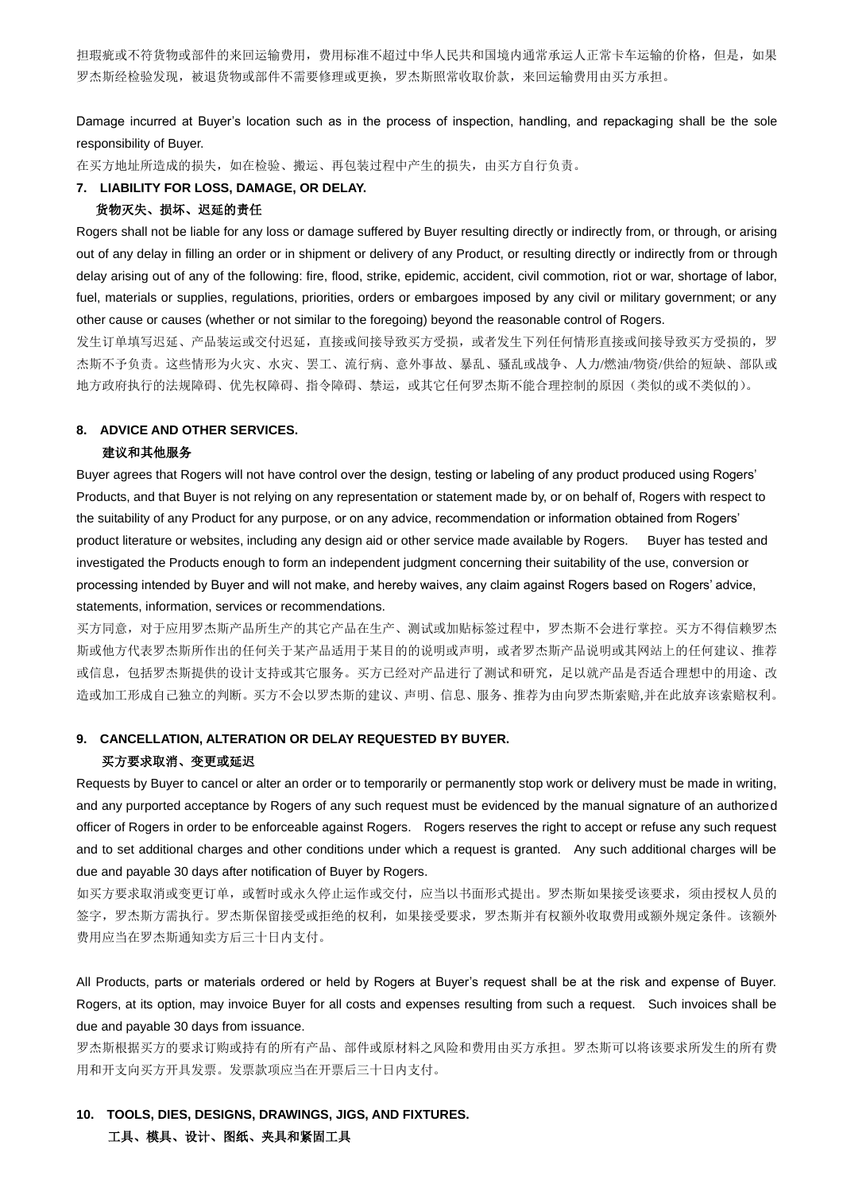担瑕疵或不符货物或部件的来回运输费用,费用标准不超过中华人民共和国境内通常承运人正常卡车运输的价格,但是,如果 罗杰斯经检验发现,被退货物或部件不需要修理或更换,罗杰斯照常收取价款,来回运输费用由买方承担。

Damage incurred at Buyer's location such as in the process of inspection, handling, and repackaging shall be the sole responsibility of Buyer.

在买方地址所造成的损失,如在检验、搬运、再包装过程中产生的损失,由买方自行负责。

#### **7. LIABILITY FOR LOSS, DAMAGE, OR DELAY.**

#### 货物灭失、损坏、迟延的责任

Rogers shall not be liable for any loss or damage suffered by Buyer resulting directly or indirectly from, or through, or arising out of any delay in filling an order or in shipment or delivery of any Product, or resulting directly or indirectly from or through delay arising out of any of the following: fire, flood, strike, epidemic, accident, civil commotion, riot or war, shortage of labor, fuel, materials or supplies, regulations, priorities, orders or embargoes imposed by any civil or military government; or any other cause or causes (whether or not similar to the foregoing) beyond the reasonable control of Rogers.

发生订单填写迟延、产品装运或交付迟延,直接或间接导致买方受损,或者发生下列任何情形直接或间接导致买方受损的,罗 杰斯不予负责。这些情形为火灾、水灾、罢工、流行病、意外事故、暴乱、骚乱或战争、人力/燃油/物资/供给的短缺、部队或 地方政府执行的法规障碍、优先权障碍、指令障碍、禁运,或其它任何罗杰斯不能合理控制的原因(类似的或不类似的)。

#### **8. ADVICE AND OTHER SERVICES.**

#### 建议和其他服务

Buyer agrees that Rogers will not have control over the design, testing or labeling of any product produced using Rogers' Products, and that Buyer is not relying on any representation or statement made by, or on behalf of, Rogers with respect to the suitability of any Product for any purpose, or on any advice, recommendation or information obtained from Rogers' product literature or websites, including any design aid or other service made available by Rogers. Buyer has tested and investigated the Products enough to form an independent judgment concerning their suitability of the use, conversion or processing intended by Buyer and will not make, and hereby waives, any claim against Rogers based on Rogers' advice, statements, information, services or recommendations.

买方同意,对于应用罗杰斯产品所生产的其它产品在生产、测试或加贴标签过程中,罗杰斯不会进行掌控。买方不得信赖罗杰 斯或他方代表罗杰斯所作出的任何关于某产品适用于某目的的说明或声明,或者罗杰斯产品说明或其网站上的任何建议、推荐 或信息,包括罗杰斯提供的设计支持或其它服务。买方已经对产品进行了测试和研究,足以就产品是否适合理想中的用途、改 造或加工形成自己独立的判断。买方不会以罗杰斯的建议、声明、信息、服务、推荐为由向罗杰斯索赔,并在此放弃该索赔权利。

#### **9. CANCELLATION, ALTERATION OR DELAY REQUESTED BY BUYER.**

#### 买方要求取消、变更或延迟

Requests by Buyer to cancel or alter an order or to temporarily or permanently stop work or delivery must be made in writing, and any purported acceptance by Rogers of any such request must be evidenced by the manual signature of an authorized officer of Rogers in order to be enforceable against Rogers. Rogers reserves the right to accept or refuse any such request and to set additional charges and other conditions under which a request is granted. Any such additional charges will be due and payable 30 days after notification of Buyer by Rogers.

如买方要求取消或变更订单,或暂时或永久停止运作或交付,应当以书面形式提出。罗杰斯如果接受该要求,须由授权人员的 签字,罗杰斯方需执行。罗杰斯保留接受或拒绝的权利,如果接受要求,罗杰斯并有权额外收取费用或额外规定条件。该额外 费用应当在罗杰斯通知卖方后三十日内支付。

All Products, parts or materials ordered or held by Rogers at Buyer's request shall be at the risk and expense of Buyer. Rogers, at its option, may invoice Buyer for all costs and expenses resulting from such a request. Such invoices shall be due and payable 30 days from issuance.

罗杰斯根据买方的要求订购或持有的所有产品、部件或原材料之风险和费用由买方承担。罗杰斯可以将该要求所发生的所有费 用和开支向买方开具发票。发票款项应当在开票后三十日内支付。

## **10. TOOLS, DIES, DESIGNS, DRAWINGS, JIGS, AND FIXTURES.**  工具、模具、设计、图纸、夹具和紧固工具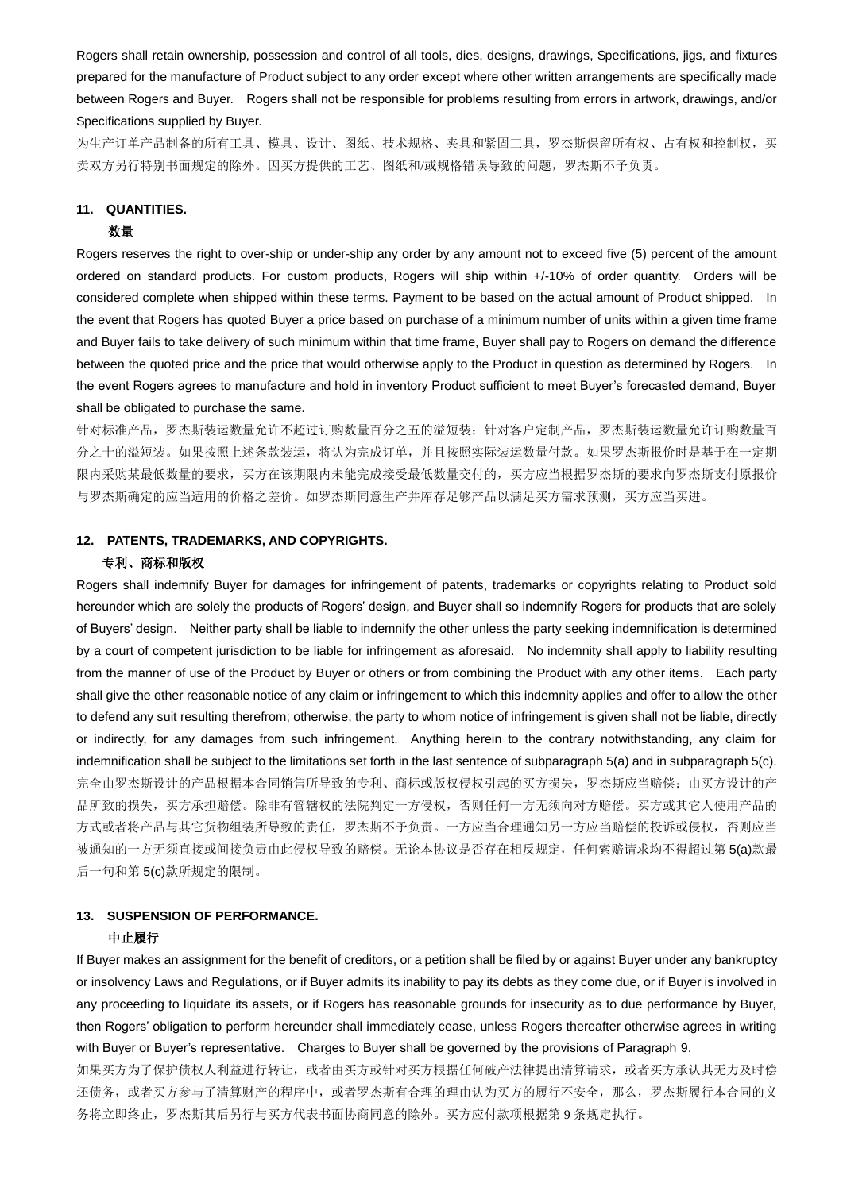Rogers shall retain ownership, possession and control of all tools, dies, designs, drawings, Specifications, jigs, and fixtures prepared for the manufacture of Product subject to any order except where other written arrangements are specifically made between Rogers and Buyer. Rogers shall not be responsible for problems resulting from errors in artwork, drawings, and/or Specifications supplied by Buyer.

为生产订单产品制备的所有工具、模具、设计、图纸、技术规格、夹具和紧固工具,罗杰斯保留所有权、占有权和控制权,买 卖双方另行特别书面规定的除外。因买方提供的工艺、图纸和/或规格错误导致的问题,罗杰斯不予负责。

#### **11. QUANTITIES.**

#### 数量

Rogers reserves the right to over-ship or under-ship any order by any amount not to exceed five (5) percent of the amount ordered on standard products. For custom products, Rogers will ship within +/-10% of order quantity. Orders will be considered complete when shipped within these terms. Payment to be based on the actual amount of Product shipped. In the event that Rogers has quoted Buyer a price based on purchase of a minimum number of units within a given time frame and Buyer fails to take delivery of such minimum within that time frame, Buyer shall pay to Rogers on demand the difference between the quoted price and the price that would otherwise apply to the Product in question as determined by Rogers. In the event Rogers agrees to manufacture and hold in inventory Product sufficient to meet Buyer's forecasted demand, Buyer shall be obligated to purchase the same.

针对标准产品,罗杰斯装运数量允许不超过订购数量百分之五的溢短装;针对客户定制产品,罗杰斯装运数量允许订购数量百 分之十的溢短装。如果按照上述条款装运,将认为完成订单,并且按照实际装运数量付款。如果罗杰斯报价时是基于在一定期 限内采购某最低数量的要求,买方在该期限内未能完成接受最低数量交付的,买方应当根据罗杰斯的要求向罗杰斯支付原报价 与罗杰斯确定的应当适用的价格之差价。如罗杰斯同意生产并库存足够产品以满足买方需求预测,买方应当买进。

#### **12. PATENTS, TRADEMARKS, AND COPYRIGHTS.**

#### 专利、商标和版权

Rogers shall indemnify Buyer for damages for infringement of patents, trademarks or copyrights relating to Product sold hereunder which are solely the products of Rogers' design, and Buyer shall so indemnify Rogers for products that are solely of Buyers' design. Neither party shall be liable to indemnify the other unless the party seeking indemnification is determined by a court of competent jurisdiction to be liable for infringement as aforesaid. No indemnity shall apply to liability resulting from the manner of use of the Product by Buyer or others or from combining the Product with any other items. Each party shall give the other reasonable notice of any claim or infringement to which this indemnity applies and offer to allow the other to defend any suit resulting therefrom; otherwise, the party to whom notice of infringement is given shall not be liable, directly or indirectly, for any damages from such infringement. Anything herein to the contrary notwithstanding, any claim for indemnification shall be subject to the limitations set forth in the last sentence of subparagraph 5(a) and in subparagraph 5(c). 完全由罗杰斯设计的产品根据本合同销售所导致的专利、商标或版权侵权引起的买方损失,罗杰斯应当赔偿;由买方设计的产 品所致的损失,买方承担赔偿。除非有管辖权的法院判定一方侵权,否则任何一方无须向对方赔偿。买方或其它人使用产品的 方式或者将产品与其它货物组装所导致的责任,罗杰斯不予负责。一方应当合理通知另一方应当赔偿的投诉或侵权,否则应当 被通知的一方无须直接或间接负责由此侵权导致的赔偿。无论本协议是否存在相反规定,任何索赔请求均不得超过第5(a)款最 后一句和第 5(c)款所规定的限制。

### **13. SUSPENSION OF PERFORMANCE.**  中止履行

If Buyer makes an assignment for the benefit of creditors, or a petition shall be filed by or against Buyer under any bankruptcy or insolvency Laws and Regulations, or if Buyer admits its inability to pay its debts as they come due, or if Buyer is involved in any proceeding to liquidate its assets, or if Rogers has reasonable grounds for insecurity as to due performance by Buyer, then Rogers' obligation to perform hereunder shall immediately cease, unless Rogers thereafter otherwise agrees in writing with Buyer or Buyer's representative. Charges to Buyer shall be governed by the provisions of Paragraph 9.

如果买方为了保护债权人利益进行转让,或者由买方或针对买方根据任何破产法律提出清算请求,或者买方承认其无力及时偿 还债务,或者买方参与了清算财产的程序中,或者罗杰斯有合理的理由认为买方的履行不安全,那么,罗杰斯履行本合同的义 务将立即终止,罗杰斯其后另行与买方代表书面协商同意的除外。买方应付款项根据第 9 条规定执行。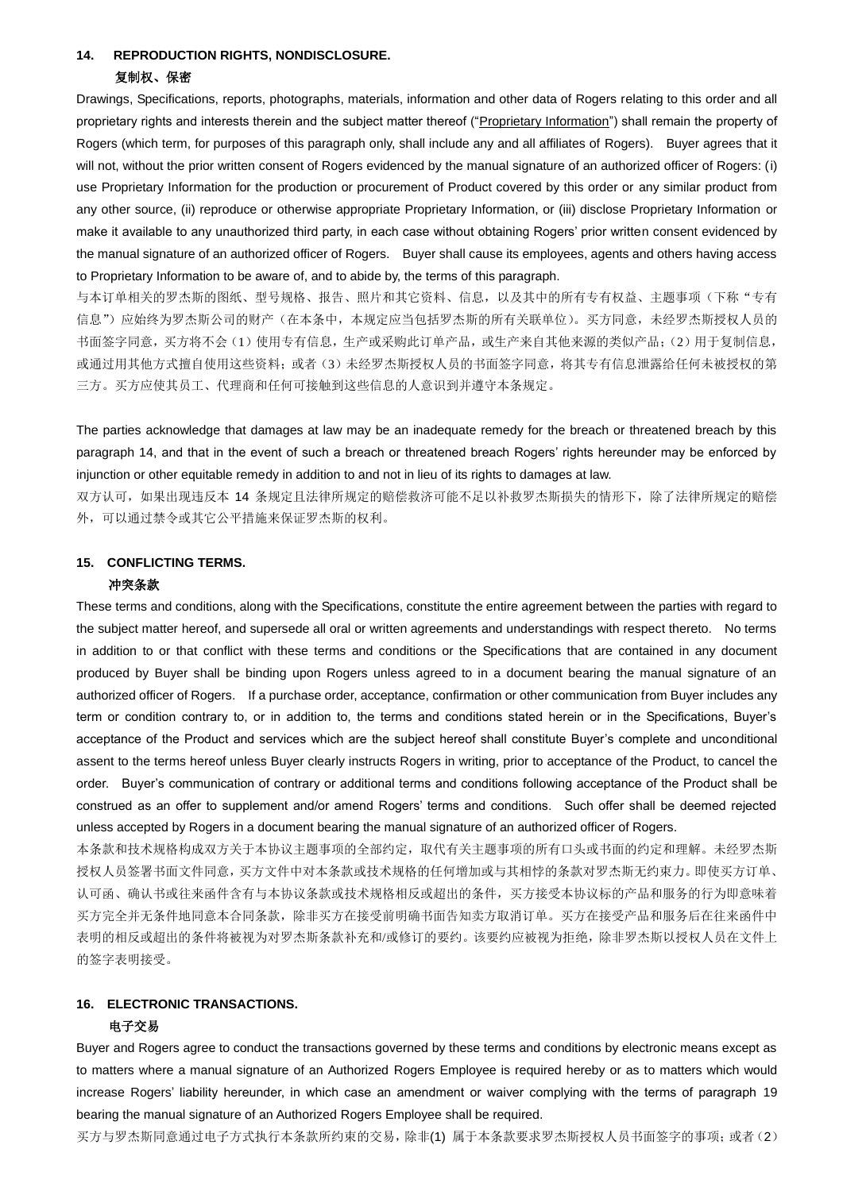#### **14. REPRODUCTION RIGHTS, NONDISCLOSURE.**

#### 复制权、保密

Drawings, Specifications, reports, photographs, materials, information and other data of Rogers relating to this order and all proprietary rights and interests therein and the subject matter thereof ("Proprietary Information") shall remain the property of Rogers (which term, for purposes of this paragraph only, shall include any and all affiliates of Rogers). Buyer agrees that it will not, without the prior written consent of Rogers evidenced by the manual signature of an authorized officer of Rogers: (i) use Proprietary Information for the production or procurement of Product covered by this order or any similar product from any other source, (ii) reproduce or otherwise appropriate Proprietary Information, or (iii) disclose Proprietary Information or make it available to any unauthorized third party, in each case without obtaining Rogers' prior written consent evidenced by the manual signature of an authorized officer of Rogers. Buyer shall cause its employees, agents and others having access to Proprietary Information to be aware of, and to abide by, the terms of this paragraph.

与本订单相关的罗杰斯的图纸、型号规格、报告、照片和其它资料、信息,以及其中的所有专有权益、主题事项(下称"专有 信息")应始终为罗杰斯公司的财产(在本条中,本规定应当包括罗杰斯的所有关联单位)。买方同意,未经罗杰斯授权人员的 书面签字同意,买方将不会(1)使用专有信息,生产或采购此订单产品,或生产来自其他来源的类似产品;(2)用于复制信息, 或通过用其他方式擅自使用这些资料;或者(3)未经罗杰斯授权人员的书面签字同意,将其专有信息泄露给任何未被授权的第 三方。买方应使其员工、代理商和任何可接触到这些信息的人意识到并遵守本条规定。

The parties acknowledge that damages at law may be an inadequate remedy for the breach or threatened breach by this paragraph 14, and that in the event of such a breach or threatened breach Rogers' rights hereunder may be enforced by injunction or other equitable remedy in addition to and not in lieu of its rights to damages at law.

双方认可,如果出现违反本 14 条规定且法律所规定的赔偿救济可能不足以补救罗杰斯损失的情形下,除了法律所规定的赔偿 外,可以通过禁令或其它公平措施来保证罗杰斯的权利。

#### **15. CONFLICTING TERMS.**

#### 冲突条款

These terms and conditions, along with the Specifications, constitute the entire agreement between the parties with regard to the subject matter hereof, and supersede all oral or written agreements and understandings with respect thereto. No terms in addition to or that conflict with these terms and conditions or the Specifications that are contained in any document produced by Buyer shall be binding upon Rogers unless agreed to in a document bearing the manual signature of an authorized officer of Rogers. If a purchase order, acceptance, confirmation or other communication from Buyer includes any term or condition contrary to, or in addition to, the terms and conditions stated herein or in the Specifications, Buyer's acceptance of the Product and services which are the subject hereof shall constitute Buyer's complete and unconditional assent to the terms hereof unless Buyer clearly instructs Rogers in writing, prior to acceptance of the Product, to cancel the order. Buyer's communication of contrary or additional terms and conditions following acceptance of the Product shall be construed as an offer to supplement and/or amend Rogers' terms and conditions. Such offer shall be deemed rejected unless accepted by Rogers in a document bearing the manual signature of an authorized officer of Rogers.

本条款和技术规格构成双方关于本协议主题事项的全部约定,取代有关主题事项的所有口头或书面的约定和理解。未经罗杰斯 授权人员签署书面文件同意,买方文件中对本条款或技术规格的任何增加或与其相悖的条款对罗杰斯无约束力。即使买方订单、 认可函、确认书或往来函件含有与本协议条款或技术规格相反或超出的条件,买方接受本协议标的产品和服务的行为即意味着 买方完全并无条件地同意本合同条款,除非买方在接受前明确书面告知卖方取消订单。买方在接受产品和服务后在往来函件中 表明的相反或超出的条件将被视为对罗杰斯条款补充和/或修订的要约。该要约应被视为拒绝,除非罗杰斯以授权人员在文件上 的签字表明接受。

## **16. ELECTRONIC TRANSACTIONS.**

#### 电子交易

Buyer and Rogers agree to conduct the transactions governed by these terms and conditions by electronic means except as to matters where a manual signature of an Authorized Rogers Employee is required hereby or as to matters which would increase Rogers' liability hereunder, in which case an amendment or waiver complying with the terms of paragraph 19 bearing the manual signature of an Authorized Rogers Employee shall be required.

买方与罗杰斯同意通过电子方式执行本条款所约束的交易,除非(1) 属于本条款要求罗杰斯授权人员书面签字的事项;或者(2)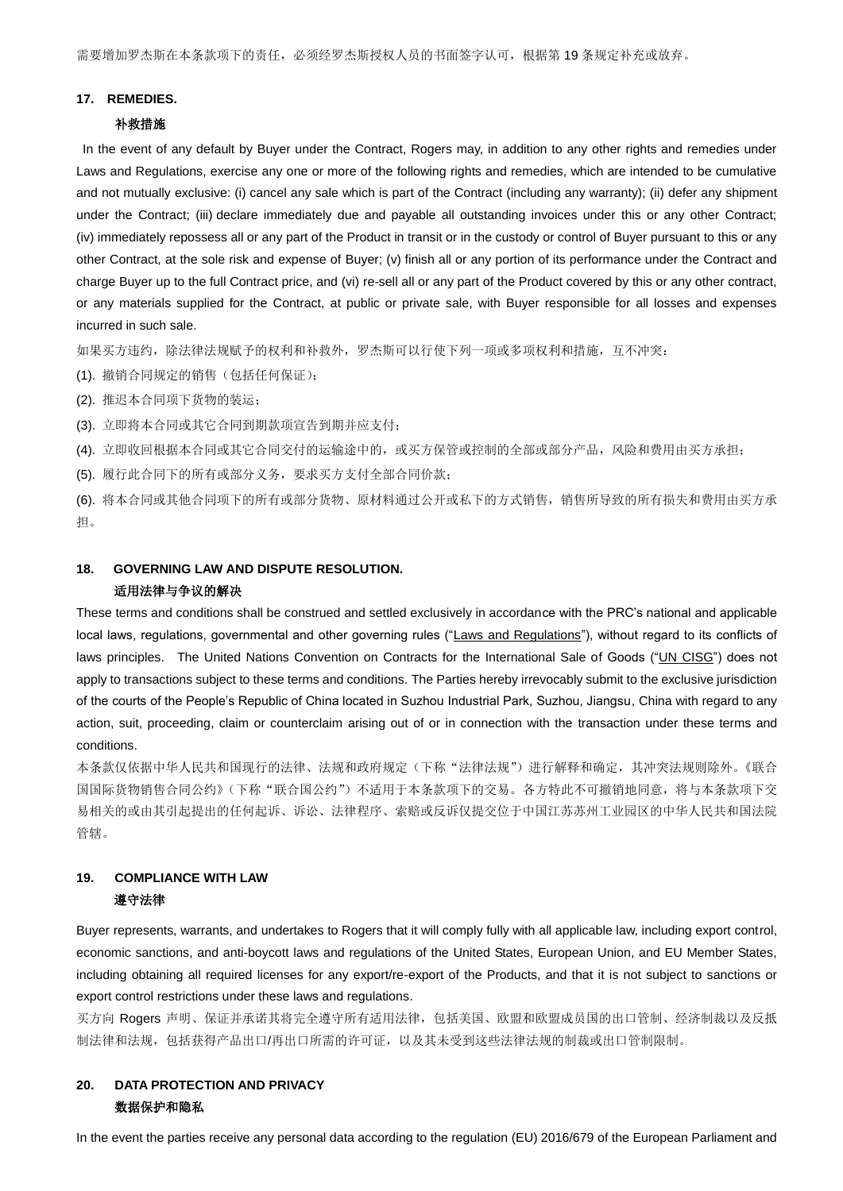#### **17. REMEDIES.**

#### 补救措施

In the event of any default by Buyer under the Contract, Rogers may, in addition to any other rights and remedies under Laws and Regulations, exercise any one or more of the following rights and remedies, which are intended to be cumulative and not mutually exclusive: (i) cancel any sale which is part of the Contract (including any warranty); (ii) defer any shipment under the Contract; (iii) declare immediately due and payable all outstanding invoices under this or any other Contract; (iv) immediately repossess all or any part of the Product in transit or in the custody or control of Buyer pursuant to this or any other Contract, at the sole risk and expense of Buyer; (v) finish all or any portion of its performance under the Contract and charge Buyer up to the full Contract price, and (vi) re-sell all or any part of the Product covered by this or any other contract, or any materials supplied for the Contract, at public or private sale, with Buyer responsible for all losses and expenses incurred in such sale.

如果买方违约,除法律法规赋予的权利和补救外,罗杰斯可以行使下列一项或多项权利和措施,互不冲突:

(1). 撤销合同规定的销售(包括任何保证);

(2). 推迟本合同项下货物的装运;

(3). 立即将本合同或其它合同到期款项宣告到期并应支付;

(4). 立即收回根据本合同或其它合同交付的运输途中的,或买方保管或控制的全部或部分产品,风险和费用由买方承担;

(5). 履行此合同下的所有或部分义务,要求买方支付全部合同价款;

(6). 将本合同或其他合同项下的所有或部分货物、原材料通过公开或私下的方式销售,销售所导致的所有损失和费用由买方承 担。

## **18. GOVERNING LAW AND DISPUTE RESOLUTION.**  适用法律与争议的解决

These terms and conditions shall be construed and settled exclusively in accordance with the PRC's national and applicable local laws, regulations, governmental and other governing rules ("Laws and Regulations"), without regard to its conflicts of laws principles. The United Nations Convention on Contracts for the International Sale of Goods ("UN CISG") does not apply to transactions subject to these terms and conditions. The Parties hereby irrevocably submit to the exclusive jurisdiction of the courts of the People's Republic of China located in Suzhou Industrial Park, Suzhou, Jiangsu, China with regard to any action, suit, proceeding, claim or counterclaim arising out of or in connection with the transaction under these terms and conditions.

本条款仅依据中华人民共和国现行的法律、法规和政府规定(下称"法律法规")进行解释和确定,其冲突法规则除外。《联合 国国际货物销售合同公约》(下称"联合国公约")不适用于本条款项下的交易。各方特此不可撤销地同意,将与本条款项下交 易相关的或由其引起提出的任何起诉、诉讼、法律程序、索赔或反诉仅提交位于中国江苏苏州工业园区的中华人民共和国法院 管辖。

# **19. COMPLIANCE WITH LAW**

## 遵守法律

Buyer represents, warrants, and undertakes to Rogers that it will comply fully with all applicable law, including export control, economic sanctions, and anti-boycott laws and regulations of the United States, European Union, and EU Member States, including obtaining all required licenses for any export/re-export of the Products, and that it is not subject to sanctions or export control restrictions under these laws and regulations.

买方向 Rogers 声明、保证并承诺其将完全遵守所有适用法律,包括美国、欧盟和欧盟成员国的出口管制、经济制裁以及反抵 制法律和法规,包括获得产品出口/再出口所需的许可证,以及其未受到这些法律法规的制裁或出口管制限制。

## **20. DATA PROTECTION AND PRIVACY** 数据保护和隐私

In the event the parties receive any personal data according to the regulation (EU) 2016/679 of the European Parliament and